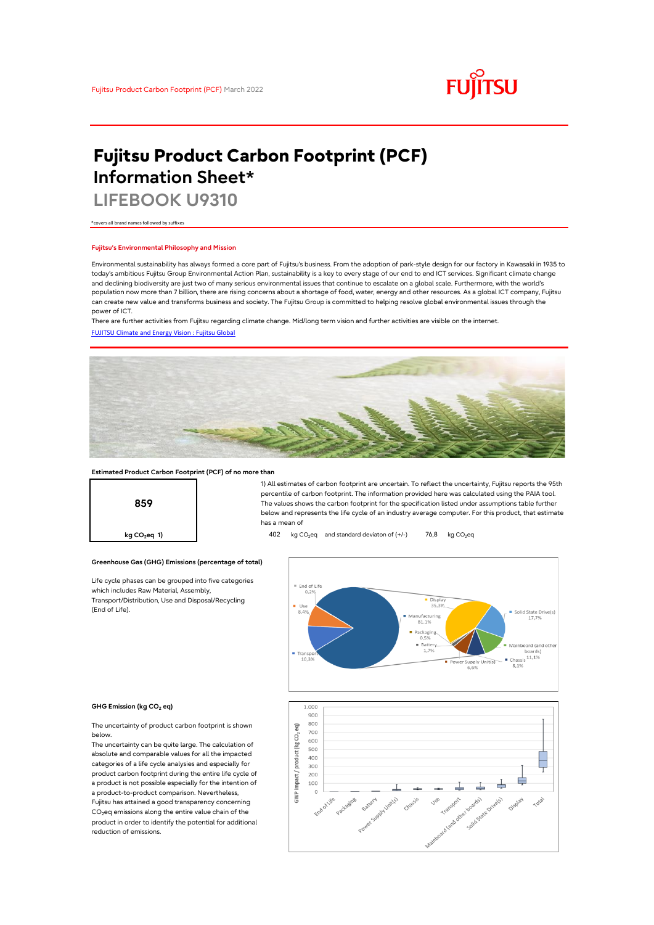

# **Fujitsu Product Carbon Footprint (PCF) Information Sheet\***

**LIFEBOOK U9310**

\*covers all brand names followed by suffixes

### **Fujitsu's Environmental Philosophy and Mission**

Environmental sustainability has always formed a core part of Fujitsu's business. From the adoption of park-style design for our factory in Kawasaki in 1935 to today's ambitious Fujitsu Group Environmental Action Plan, sustainability is a key to every stage of our end to end ICT services. Significant climate change and declining biodiversity are just two of many serious environmental issues that continue to escalate on a global scale. Furthermore, with the world's population now more than 7 billion, there are rising concerns about a shortage of food, water, energy and other resources. As a global ICT company, Fujitsu can create new value and transforms business and society. The Fujitsu Group is committed to helping resolve global environmental issues through the power of ICT.

[FUJITSU Climate and Energy Vision : Fujitsu Global](https://www.fujitsu.com/global/about/environment/climate-energy-vision/) There are further activities from Fujitsu regarding climate change. Mid/long term vision and further activities are visible on the internet.



### **Estimated Product Carbon Footprint (PCF) of no more than**

**Greenhouse Gas (GHG) Emissions (percentage of total)**

Life cycle phases can be grouped into five categories

which includes Raw Material, Assembly, Transport/Distribution, Use and Disposal/Recycling



1) All estimates of carbon footprint are uncertain. To reflect the uncertainty, Fujitsu reports the 95th percentile of carbon footprint. The information provided here was calculated using the PAIA tool. The values shows the carbon footprint for the specification listed under assumptions table further below and represents the life cycle of an industry average computer. For this product, that estimate has a mean of

**kg CO<sub>2</sub>eq 1) 402** kg CO<sub>2</sub>eq and standard deviaton of (+/-) 76,8 kg CO<sub>2</sub>eq



### **GHG Emission (kg CO2 eq)**

(End of Life).

The uncertainty of product carbon footprint is shown below.

The uncertainty can be quite large. The calculation of absolute and comparable values for all the impacted categories of a life cycle analysies and especially for product carbon footprint during the entire life cycle of a product is not possible especially for the intention of a product-to-product comparison. Nevertheless, Fujitsu has attained a good transparency concerning CO<sub>2</sub>eq emissions along the entire value chain of the product in order to identify the potential for additional reduction of emissions.